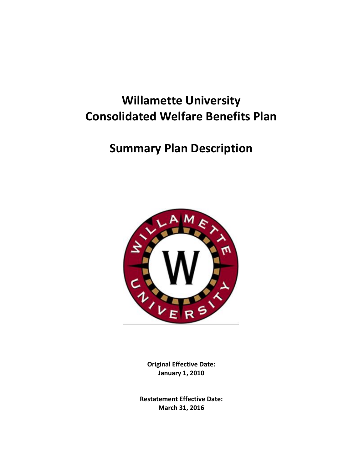# **Willamette University Consolidated Welfare Benefits Plan**

# **Summary Plan Description**



**Original Effective Date: January 1, 2010**

**Restatement Effective Date: March 31, 2016**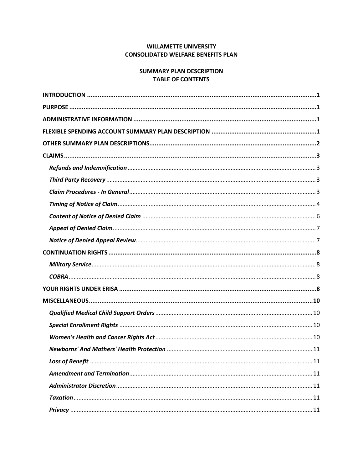# **WILLAMETTE UNIVERSITY CONSOLIDATED WELFARE BENEFITS PLAN**

# **SUMMARY PLAN DESCRIPTION TABLE OF CONTENTS**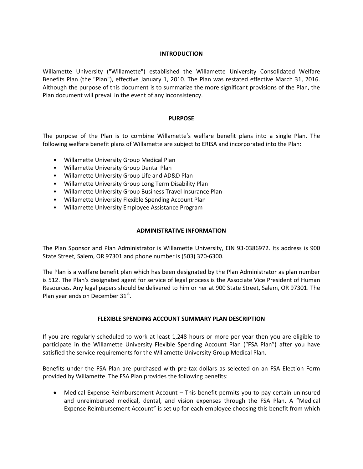# **INTRODUCTION**

<span id="page-2-0"></span>Willamette University ("Willamette") established the Willamette University Consolidated Welfare Benefits Plan (the "Plan"), effective January 1, 2010. The Plan was restated effective March 31, 2016. Although the purpose of this document is to summarize the more significant provisions of the Plan, the Plan document will prevail in the event of any inconsistency.

## **PURPOSE**

<span id="page-2-1"></span>The purpose of the Plan is to combine Willamette's welfare benefit plans into a single Plan. The following welfare benefit plans of Willamette are subject to ERISA and incorporated into the Plan:

- Willamette University Group Medical Plan
- Willamette University Group Dental Plan
- Willamette University Group Life and AD&D Plan
- Willamette University Group Long Term Disability Plan
- Willamette University Group Business Travel Insurance Plan
- Willamette University Flexible Spending Account Plan
- <span id="page-2-2"></span>• Willamette University Employee Assistance Program

## **ADMINISTRATIVE INFORMATION**

The Plan Sponsor and Plan Administrator is Willamette University, EIN 93-0386972. Its address is 900 State Street, Salem, OR 97301 and phone number is (503) 370-6300.

The Plan is a welfare benefit plan which has been designated by the Plan Administrator as plan number is 512. The Plan's designated agent for service of legal process is the Associate Vice President of Human Resources. Any legal papers should be delivered to him or her at 900 State Street, Salem, OR 97301. The Plan year ends on December 31st.

# **FLEXIBLE SPENDING ACCOUNT SUMMARY PLAN DESCRIPTION**

<span id="page-2-3"></span>If you are regularly scheduled to work at least 1,248 hours or more per year then you are eligible to participate in the Willamette University Flexible Spending Account Plan ("FSA Plan") after you have satisfied the service requirements for the Willamette University Group Medical Plan.

Benefits under the FSA Plan are purchased with pre-tax dollars as selected on an FSA Election Form provided by Willamette. The FSA Plan provides the following benefits:

 Medical Expense Reimbursement Account – This benefit permits you to pay certain uninsured and unreimbursed medical, dental, and vision expenses through the FSA Plan. A "Medical Expense Reimbursement Account" is set up for each employee choosing this benefit from which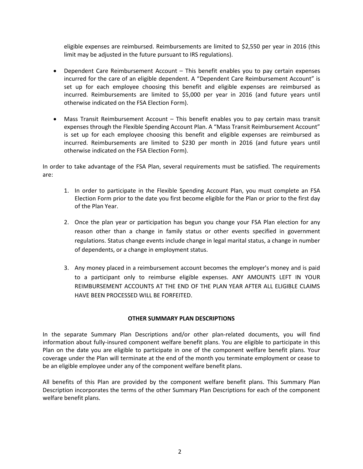eligible expenses are reimbursed. Reimbursements are limited to \$2,550 per year in 2016 (this limit may be adjusted in the future pursuant to IRS regulations).

- Dependent Care Reimbursement Account This benefit enables you to pay certain expenses incurred for the care of an eligible dependent. A "Dependent Care Reimbursement Account" is set up for each employee choosing this benefit and eligible expenses are reimbursed as incurred. Reimbursements are limited to \$5,000 per year in 2016 (and future years until otherwise indicated on the FSA Election Form).
- Mass Transit Reimbursement Account This benefit enables you to pay certain mass transit expenses through the Flexible Spending Account Plan. A "Mass Transit Reimbursement Account" is set up for each employee choosing this benefit and eligible expenses are reimbursed as incurred. Reimbursements are limited to \$230 per month in 2016 (and future years until otherwise indicated on the FSA Election Form).

In order to take advantage of the FSA Plan, several requirements must be satisfied. The requirements are:

- 1. In order to participate in the Flexible Spending Account Plan, you must complete an FSA Election Form prior to the date you first become eligible for the Plan or prior to the first day of the Plan Year.
- 2. Once the plan year or participation has begun you change your FSA Plan election for any reason other than a change in family status or other events specified in government regulations. Status change events include change in legal marital status, a change in number of dependents, or a change in employment status.
- 3. Any money placed in a reimbursement account becomes the employer's money and is paid to a participant only to reimburse eligible expenses. ANY AMOUNTS LEFT IN YOUR REIMBURSEMENT ACCOUNTS AT THE END OF THE PLAN YEAR AFTER ALL ELIGIBLE CLAIMS HAVE BEEN PROCESSED WILL BE FORFEITED.

# **OTHER SUMMARY PLAN DESCRIPTIONS**

<span id="page-3-0"></span>In the separate Summary Plan Descriptions and/or other plan-related documents, you will find information about fully-insured component welfare benefit plans. You are eligible to participate in this Plan on the date you are eligible to participate in one of the component welfare benefit plans. Your coverage under the Plan will terminate at the end of the month you terminate employment or cease to be an eligible employee under any of the component welfare benefit plans.

All benefits of this Plan are provided by the component welfare benefit plans. This Summary Plan Description incorporates the terms of the other Summary Plan Descriptions for each of the component welfare benefit plans.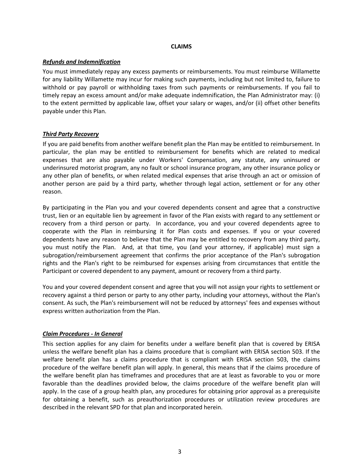## **CLAIMS**

# <span id="page-4-1"></span><span id="page-4-0"></span>*Refunds and Indemnification*

You must immediately repay any excess payments or reimbursements. You must reimburse Willamette for any liability Willamette may incur for making such payments, including but not limited to, failure to withhold or pay payroll or withholding taxes from such payments or reimbursements. If you fail to timely repay an excess amount and/or make adequate indemnification, the Plan Administrator may: (i) to the extent permitted by applicable law, offset your salary or wages, and/or (ii) offset other benefits payable under this Plan.

## <span id="page-4-2"></span>*Third Party Recovery*

If you are paid benefits from another welfare benefit plan the Plan may be entitled to reimbursement. In particular, the plan may be entitled to reimbursement for benefits which are related to medical expenses that are also payable under Workers' Compensation, any statute, any uninsured or underinsured motorist program, any no fault or school insurance program, any other insurance policy or any other plan of benefits, or when related medical expenses that arise through an act or omission of another person are paid by a third party, whether through legal action, settlement or for any other reason.

By participating in the Plan you and your covered dependents consent and agree that a constructive trust, lien or an equitable lien by agreement in favor of the Plan exists with regard to any settlement or recovery from a third person or party. In accordance, you and your covered dependents agree to cooperate with the Plan in reimbursing it for Plan costs and expenses. If you or your covered dependents have any reason to believe that the Plan may be entitled to recovery from any third party, you must notify the Plan. And, at that time, you (and your attorney, if applicable) must sign a subrogation/reimbursement agreement that confirms the prior acceptance of the Plan's subrogation rights and the Plan's right to be reimbursed for expenses arising from circumstances that entitle the Participant or covered dependent to any payment, amount or recovery from a third party.

You and your covered dependent consent and agree that you will not assign your rights to settlement or recovery against a third person or party to any other party, including your attorneys, without the Plan's consent. As such, the Plan's reimbursement will not be reduced by attorneys' fees and expenses without express written authorization from the Plan.

# <span id="page-4-3"></span>*Claim Procedures - In General*

This section applies for any claim for benefits under a welfare benefit plan that is covered by ERISA unless the welfare benefit plan has a claims procedure that is compliant with ERISA section 503. If the welfare benefit plan has a claims procedure that is compliant with ERISA section 503, the claims procedure of the welfare benefit plan will apply. In general, this means that if the claims procedure of the welfare benefit plan has timeframes and procedures that are at least as favorable to you or more favorable than the deadlines provided below, the claims procedure of the welfare benefit plan will apply. In the case of a group health plan, any procedures for obtaining prior approval as a prerequisite for obtaining a benefit, such as preauthorization procedures or utilization review procedures are described in the relevant SPD for that plan and incorporated herein.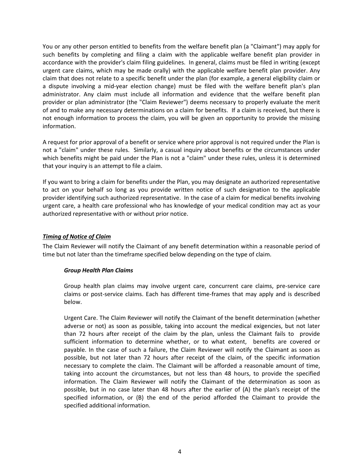You or any other person entitled to benefits from the welfare benefit plan (a "Claimant") may apply for such benefits by completing and filing a claim with the applicable welfare benefit plan provider in accordance with the provider's claim filing guidelines. In general, claims must be filed in writing (except urgent care claims, which may be made orally) with the applicable welfare benefit plan provider. Any claim that does not relate to a specific benefit under the plan (for example, a general eligibility claim or a dispute involving a mid-year election change) must be filed with the welfare benefit plan's plan administrator. Any claim must include all information and evidence that the welfare benefit plan provider or plan administrator (the "Claim Reviewer") deems necessary to properly evaluate the merit of and to make any necessary determinations on a claim for benefits. If a claim is received, but there is not enough information to process the claim, you will be given an opportunity to provide the missing information.

A request for prior approval of a benefit or service where prior approval is not required under the Plan is not a "claim" under these rules. Similarly, a casual inquiry about benefits or the circumstances under which benefits might be paid under the Plan is not a "claim" under these rules, unless it is determined that your inquiry is an attempt to file a claim.

If you want to bring a claim for benefits under the Plan, you may designate an authorized representative to act on your behalf so long as you provide written notice of such designation to the applicable provider identifying such authorized representative. In the case of a claim for medical benefits involving urgent care, a health care professional who has knowledge of your medical condition may act as your authorized representative with or without prior notice.

# <span id="page-5-0"></span>*Timing of Notice of Claim*

The Claim Reviewer will notify the Claimant of any benefit determination within a reasonable period of time but not later than the timeframe specified below depending on the type of claim.

# *Group Health Plan Claims*

Group health plan claims may involve urgent care, concurrent care claims, pre-service care claims or post-service claims. Each has different time-frames that may apply and is described below.

Urgent Care. The Claim Reviewer will notify the Claimant of the benefit determination (whether adverse or not) as soon as possible, taking into account the medical exigencies, but not later than 72 hours after receipt of the claim by the plan, unless the Claimant fails to provide sufficient information to determine whether, or to what extent, benefits are covered or payable. In the case of such a failure, the Claim Reviewer will notify the Claimant as soon as possible, but not later than 72 hours after receipt of the claim, of the specific information necessary to complete the claim. The Claimant will be afforded a reasonable amount of time, taking into account the circumstances, but not less than 48 hours, to provide the specified information. The Claim Reviewer will notify the Claimant of the determination as soon as possible, but in no case later than 48 hours after the earlier of (A) the plan's receipt of the specified information, or (B) the end of the period afforded the Claimant to provide the specified additional information.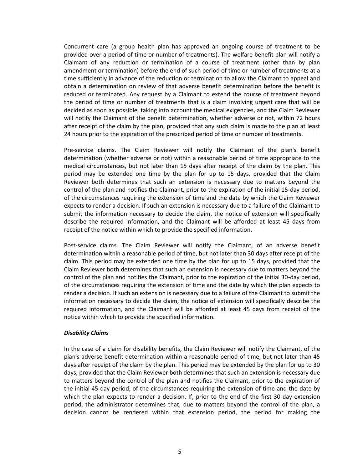Concurrent care (a group health plan has approved an ongoing course of treatment to be provided over a period of time or number of treatments). The welfare benefit plan will notify a Claimant of any reduction or termination of a course of treatment (other than by plan amendment or termination) before the end of such period of time or number of treatments at a time sufficiently in advance of the reduction or termination to allow the Claimant to appeal and obtain a determination on review of that adverse benefit determination before the benefit is reduced or terminated. Any request by a Claimant to extend the course of treatment beyond the period of time or number of treatments that is a claim involving urgent care that will be decided as soon as possible, taking into account the medical exigencies, and the Claim Reviewer will notify the Claimant of the benefit determination, whether adverse or not, within 72 hours after receipt of the claim by the plan, provided that any such claim is made to the plan at least 24 hours prior to the expiration of the prescribed period of time or number of treatments.

Pre-service claims. The Claim Reviewer will notify the Claimant of the plan's benefit determination (whether adverse or not) within a reasonable period of time appropriate to the medical circumstances, but not later than 15 days after receipt of the claim by the plan. This period may be extended one time by the plan for up to 15 days, provided that the Claim Reviewer both determines that such an extension is necessary due to matters beyond the control of the plan and notifies the Claimant, prior to the expiration of the initial 15-day period, of the circumstances requiring the extension of time and the date by which the Claim Reviewer expects to render a decision. If such an extension is necessary due to a failure of the Claimant to submit the information necessary to decide the claim, the notice of extension will specifically describe the required information, and the Claimant will be afforded at least 45 days from receipt of the notice within which to provide the specified information.

Post-service claims. The Claim Reviewer will notify the Claimant, of an adverse benefit determination within a reasonable period of time, but not later than 30 days after receipt of the claim. This period may be extended one time by the plan for up to 15 days, provided that the Claim Reviewer both determines that such an extension is necessary due to matters beyond the control of the plan and notifies the Claimant, prior to the expiration of the initial 30-day period, of the circumstances requiring the extension of time and the date by which the plan expects to render a decision. If such an extension is necessary due to a failure of the Claimant to submit the information necessary to decide the claim, the notice of extension will specifically describe the required information, and the Claimant will be afforded at least 45 days from receipt of the notice within which to provide the specified information.

## *Disability Claims*

In the case of a claim for disability benefits, the Claim Reviewer will notify the Claimant, of the plan's adverse benefit determination within a reasonable period of time, but not later than 45 days after receipt of the claim by the plan. This period may be extended by the plan for up to 30 days, provided that the Claim Reviewer both determines that such an extension is necessary due to matters beyond the control of the plan and notifies the Claimant, prior to the expiration of the initial 45-day period, of the circumstances requiring the extension of time and the date by which the plan expects to render a decision. If, prior to the end of the first 30-day extension period, the administrator determines that, due to matters beyond the control of the plan, a decision cannot be rendered within that extension period, the period for making the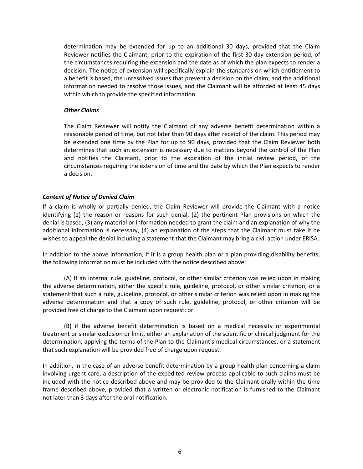determination may be extended for up to an additional 30 days, provided that the Claim Reviewer notifies the Claimant, prior to the expiration of the first 30-day extension period, of the circumstances requiring the extension and the date as of which the plan expects to render a decision. The notice of extension will specifically explain the standards on which entitlement to a benefit is based, the unresolved issues that prevent a decision on the claim, and the additional information needed to resolve those issues, and the Claimant will be afforded at least 45 days within which to provide the specified information.

## *Other Claims*

The Claim Reviewer will notify the Claimant of any adverse benefit determination within a reasonable period of time, but not later than 90 days after receipt of the claim. This period may be extended one time by the Plan for up to 90 days, provided that the Claim Reviewer both determines that such an extension is necessary due to matters beyond the control of the Plan and notifies the Claimant, prior to the expiration of the initial review period, of the circumstances requiring the extension of time and the date by which the Plan expects to render a decision.

# <span id="page-7-0"></span>*Content of Notice of Denied Claim*

If a claim is wholly or partially denied, the Claim Reviewer will provide the Claimant with a notice identifying (1) the reason or reasons for such denial, (2) the pertinent Plan provisions on which the denial is based, (3) any material or information needed to grant the claim and an explanation of why the additional information is necessary, (4) an explanation of the steps that the Claimant must take if he wishes to appeal the denial including a statement that the Claimant may bring a civil action under ERISA.

In addition to the above information, if it is a group health plan or a plan providing disability benefits, the following information must be included with the notice described above:

(A) If an internal rule, guideline, protocol, or other similar criterion was relied upon in making the adverse determination, either the specific rule, guideline, protocol, or other similar criterion; or a statement that such a rule, guideline, protocol, or other similar criterion was relied upon in making the adverse determination and that a copy of such rule, guideline, protocol, or other criterion will be provided free of charge to the Claimant upon request; or

(B) if the adverse benefit determination is based on a medical necessity or experimental treatment or similar exclusion or limit, either an explanation of the scientific or clinical judgment for the determination, applying the terms of the Plan to the Claimant's medical circumstances, or a statement that such explanation will be provided free of charge upon request.

In addition, in the case of an adverse benefit determination by a group health plan concerning a claim involving urgent care, a description of the expedited review process applicable to such claims must be included with the notice described above and may be provided to the Claimant orally within the time frame described above, provided that a written or electronic notification is furnished to the Claimant not later than 3 days after the oral notification.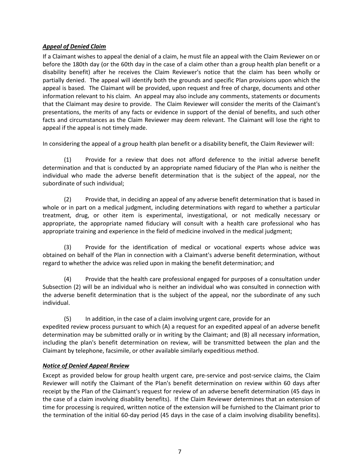# <span id="page-8-0"></span>*Appeal of Denied Claim*

If a Claimant wishes to appeal the denial of a claim, he must file an appeal with the Claim Reviewer on or before the 180th day (or the 60th day in the case of a claim other than a group health plan benefit or a disability benefit) after he receives the Claim Reviewer's notice that the claim has been wholly or partially denied. The appeal will identify both the grounds and specific Plan provisions upon which the appeal is based. The Claimant will be provided, upon request and free of charge, documents and other information relevant to his claim. An appeal may also include any comments, statements or documents that the Claimant may desire to provide. The Claim Reviewer will consider the merits of the Claimant's presentations, the merits of any facts or evidence in support of the denial of benefits, and such other facts and circumstances as the Claim Reviewer may deem relevant. The Claimant will lose the right to appeal if the appeal is not timely made.

In considering the appeal of a group health plan benefit or a disability benefit, the Claim Reviewer will:

(1) Provide for a review that does not afford deference to the initial adverse benefit determination and that is conducted by an appropriate named fiduciary of the Plan who is neither the individual who made the adverse benefit determination that is the subject of the appeal, nor the subordinate of such individual;

(2) Provide that, in deciding an appeal of any adverse benefit determination that is based in whole or in part on a medical judgment, including determinations with regard to whether a particular treatment, drug, or other item is experimental, investigational, or not medically necessary or appropriate, the appropriate named fiduciary will consult with a health care professional who has appropriate training and experience in the field of medicine involved in the medical judgment;

(3) Provide for the identification of medical or vocational experts whose advice was obtained on behalf of the Plan in connection with a Claimant's adverse benefit determination, without regard to whether the advice was relied upon in making the benefit determination; and

(4) Provide that the health care professional engaged for purposes of a consultation under Subsection (2) will be an individual who is neither an individual who was consulted in connection with the adverse benefit determination that is the subject of the appeal, nor the subordinate of any such individual.

(5) In addition, in the case of a claim involving urgent care, provide for an expedited review process pursuant to which (A) a request for an expedited appeal of an adverse benefit determination may be submitted orally or in writing by the Claimant; and (B) all necessary information, including the plan's benefit determination on review, will be transmitted between the plan and the Claimant by telephone, facsimile, or other available similarly expeditious method.

# <span id="page-8-1"></span>*Notice of Denied Appeal Review*

Except as provided below for group health urgent care, pre-service and post-service claims, the Claim Reviewer will notify the Claimant of the Plan's benefit determination on review within 60 days after receipt by the Plan of the Claimant's request for review of an adverse benefit determination (45 days in the case of a claim involving disability benefits). If the Claim Reviewer determines that an extension of time for processing is required, written notice of the extension will be furnished to the Claimant prior to the termination of the initial 60-day period (45 days in the case of a claim involving disability benefits).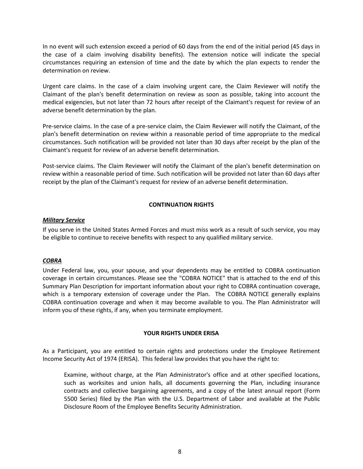In no event will such extension exceed a period of 60 days from the end of the initial period (45 days in the case of a claim involving disability benefits). The extension notice will indicate the special circumstances requiring an extension of time and the date by which the plan expects to render the determination on review.

Urgent care claims. In the case of a claim involving urgent care, the Claim Reviewer will notify the Claimant of the plan's benefit determination on review as soon as possible, taking into account the medical exigencies, but not later than 72 hours after receipt of the Claimant's request for review of an adverse benefit determination by the plan.

Pre-service claims. In the case of a pre-service claim, the Claim Reviewer will notify the Claimant, of the plan's benefit determination on review within a reasonable period of time appropriate to the medical circumstances. Such notification will be provided not later than 30 days after receipt by the plan of the Claimant's request for review of an adverse benefit determination.

Post-service claims. The Claim Reviewer will notify the Claimant of the plan's benefit determination on review within a reasonable period of time. Such notification will be provided not later than 60 days after receipt by the plan of the Claimant's request for review of an adverse benefit determination.

# **CONTINUATION RIGHTS**

## <span id="page-9-1"></span><span id="page-9-0"></span>*Military Service*

If you serve in the United States Armed Forces and must miss work as a result of such service, you may be eligible to continue to receive benefits with respect to any qualified military service.

## <span id="page-9-2"></span>*COBRA*

Under Federal law, you, your spouse, and your dependents may be entitled to COBRA continuation coverage in certain circumstances. Please see the "COBRA NOTICE" that is attached to the end of this Summary Plan Description for important information about your right to COBRA continuation coverage, which is a temporary extension of coverage under the Plan. The COBRA NOTICE generally explains COBRA continuation coverage and when it may become available to you. The Plan Administrator will inform you of these rights, if any, when you terminate employment.

# **YOUR RIGHTS UNDER ERISA**

<span id="page-9-3"></span>As a Participant, you are entitled to certain rights and protections under the Employee Retirement Income Security Act of 1974 (ERISA). This federal law provides that you have the right to:

Examine, without charge, at the Plan Administrator's office and at other specified locations, such as worksites and union halls, all documents governing the Plan, including insurance contracts and collective bargaining agreements, and a copy of the latest annual report (Form 5500 Series) filed by the Plan with the U.S. Department of Labor and available at the Public Disclosure Room of the Employee Benefits Security Administration.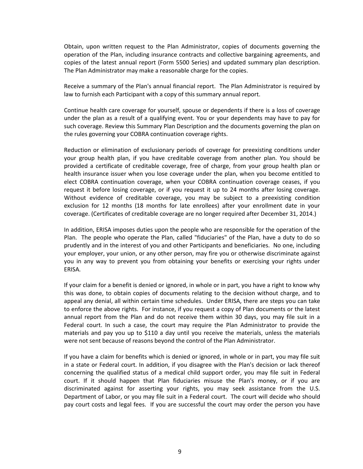Obtain, upon written request to the Plan Administrator, copies of documents governing the operation of the Plan, including insurance contracts and collective bargaining agreements, and copies of the latest annual report (Form 5500 Series) and updated summary plan description. The Plan Administrator may make a reasonable charge for the copies.

Receive a summary of the Plan's annual financial report. The Plan Administrator is required by law to furnish each Participant with a copy of this summary annual report.

Continue health care coverage for yourself, spouse or dependents if there is a loss of coverage under the plan as a result of a qualifying event. You or your dependents may have to pay for such coverage. Review this Summary Plan Description and the documents governing the plan on the rules governing your COBRA continuation coverage rights.

Reduction or elimination of exclusionary periods of coverage for preexisting conditions under your group health plan, if you have creditable coverage from another plan. You should be provided a certificate of creditable coverage, free of charge, from your group health plan or health insurance issuer when you lose coverage under the plan, when you become entitled to elect COBRA continuation coverage, when your COBRA continuation coverage ceases, if you request it before losing coverage, or if you request it up to 24 months after losing coverage. Without evidence of creditable coverage, you may be subject to a preexisting condition exclusion for 12 months (18 months for late enrollees) after your enrollment date in your coverage. (Certificates of creditable coverage are no longer required after December 31, 2014.)

In addition, ERISA imposes duties upon the people who are responsible for the operation of the Plan. The people who operate the Plan, called "fiduciaries" of the Plan, have a duty to do so prudently and in the interest of you and other Participants and beneficiaries. No one, including your employer, your union, or any other person, may fire you or otherwise discriminate against you in any way to prevent you from obtaining your benefits or exercising your rights under ERISA.

If your claim for a benefit is denied or ignored, in whole or in part, you have a right to know why this was done, to obtain copies of documents relating to the decision without charge, and to appeal any denial, all within certain time schedules. Under ERISA, there are steps you can take to enforce the above rights. For instance, if you request a copy of Plan documents or the latest annual report from the Plan and do not receive them within 30 days, you may file suit in a Federal court. In such a case, the court may require the Plan Administrator to provide the materials and pay you up to \$110 a day until you receive the materials, unless the materials were not sent because of reasons beyond the control of the Plan Administrator.

If you have a claim for benefits which is denied or ignored, in whole or in part, you may file suit in a state or Federal court. In addition, if you disagree with the Plan's decision or lack thereof concerning the qualified status of a medical child support order, you may file suit in Federal court. If it should happen that Plan fiduciaries misuse the Plan's money, or if you are discriminated against for asserting your rights, you may seek assistance from the U.S. Department of Labor, or you may file suit in a Federal court. The court will decide who should pay court costs and legal fees. If you are successful the court may order the person you have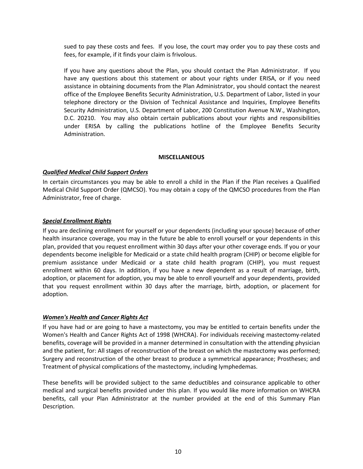sued to pay these costs and fees. If you lose, the court may order you to pay these costs and fees, for example, if it finds your claim is frivolous.

If you have any questions about the Plan, you should contact the Plan Administrator. If you have any questions about this statement or about your rights under ERISA, or if you need assistance in obtaining documents from the Plan Administrator, you should contact the nearest office of the Employee Benefits Security Administration, U.S. Department of Labor, listed in your telephone directory or the Division of Technical Assistance and Inquiries, Employee Benefits Security Administration, U.S. Department of Labor, 200 Constitution Avenue N.W., Washington, D.C. 20210. You may also obtain certain publications about your rights and responsibilities under ERISA by calling the publications hotline of the Employee Benefits Security Administration.

## **MISCELLANEOUS**

# <span id="page-11-1"></span><span id="page-11-0"></span>*Qualified Medical Child Support Orders*

In certain circumstances you may be able to enroll a child in the Plan if the Plan receives a Qualified Medical Child Support Order (QMCSO). You may obtain a copy of the QMCSO procedures from the Plan Administrator, free of charge.

## <span id="page-11-2"></span>*Special Enrollment Rights*

If you are declining enrollment for yourself or your dependents (including your spouse) because of other health insurance coverage, you may in the future be able to enroll yourself or your dependents in this plan, provided that you request enrollment within 30 days after your other coverage ends. If you or your dependents become ineligible for Medicaid or a state child health program (CHIP) or become eligible for premium assistance under Medicaid or a state child health program (CHIP), you must request enrollment within 60 days. In addition, if you have a new dependent as a result of marriage, birth, adoption, or placement for adoption, you may be able to enroll yourself and your dependents, provided that you request enrollment within 30 days after the marriage, birth, adoption, or placement for adoption.

## <span id="page-11-3"></span>*Women's Health and Cancer Rights Act*

If you have had or are going to have a mastectomy, you may be entitled to certain benefits under the Women's Health and Cancer Rights Act of 1998 (WHCRA). For individuals receiving mastectomy-related benefits, coverage will be provided in a manner determined in consultation with the attending physician and the patient, for: All stages of reconstruction of the breast on which the mastectomy was performed; Surgery and reconstruction of the other breast to produce a symmetrical appearance; Prostheses; and Treatment of physical complications of the mastectomy, including lymphedemas.

These benefits will be provided subject to the same deductibles and coinsurance applicable to other medical and surgical benefits provided under this plan. If you would like more information on WHCRA benefits, call your Plan Administrator at the number provided at the end of this Summary Plan Description.